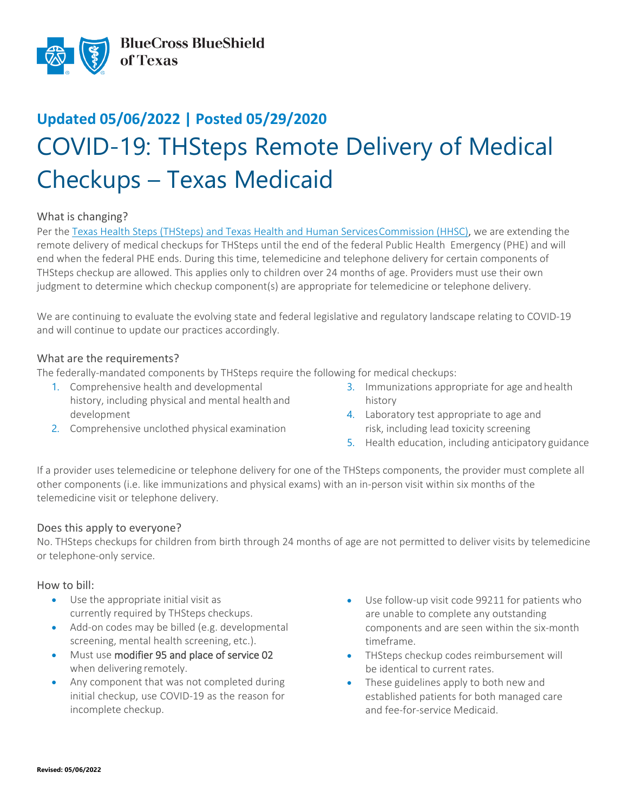

# **Updated 05/06/2022 | Posted 05/29/2020** COVID-19: THSteps Remote Delivery of Medical Checkups – Texas Medicaid

## What is changing?

Per the Texas Health Steps (THSteps) and Texas Health and Human Services Commission (HHSC), we are extending the remote delivery of medical checkups for THSteps until the end of the federal Public Health Emergency (PHE) and will end when the federal PHE ends. During this time, telemedicine and telephone delivery for certain components of THSteps checkup are allowed. This applies only to children over 24 months of age. Providers must use their own judgment to determine which checkup component(s) are appropriate for telemedicine or telephone delivery.

We are continuing to evaluate the evolving state and federal legislative and regulatory landscape relating to COVID-19 and will continue to update our practices accordingly.

#### What are the requirements?

The federally-mandated components by THSteps require the following for medical checkups:

- 1. Comprehensive health and developmental history, including physical and mental health and development
- 2. Comprehensive unclothed physical examination
- 3. Immunizations appropriate for age and health history
- 4. Laboratory test appropriate to age and risk, including lead toxicity screening
- 5. Health education, including anticipatory guidance

If a provider uses telemedicine or telephone delivery for one of the THSteps components, the provider must complete all other components (i.e. like immunizations and physical exams) with an in-person visit within six months of the telemedicine visit or telephone delivery.

## Does this apply to everyone?

No. THSteps checkups for children from birth through 24 months of age are not permitted to deliver visits by telemedicine or telephone-only service.

#### How to bill:

- Use the appropriate initial visit as currently required by THSteps checkups.
- Add-on codes may be billed (e.g. developmental screening, mental health screening, etc.).
- Must use modifier 95 and place of service 02 when delivering remotely.
- Any component that was not completed during initial checkup, use COVID-19 as the reason for incomplete checkup.
- Use follow-up visit code 99211 for patients who are unable to complete any outstanding components and are seen within the six-month timeframe.
- THSteps checkup codes reimbursement will be identical to current rates.
- These guidelines apply to both new and established patients for both managed care and fee-for-service Medicaid.